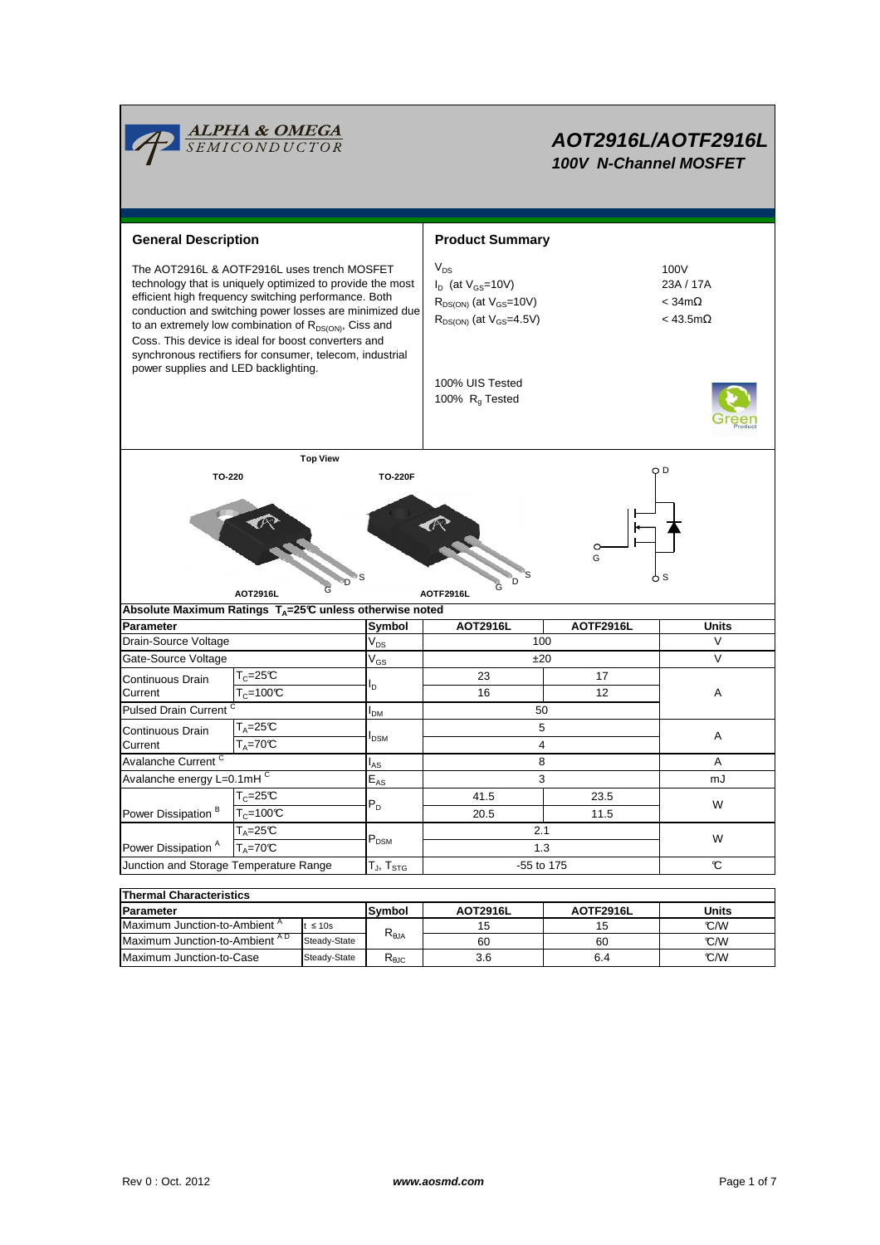

# **AOT2916L/AOTF2916L 100V N-Channel MOSFET**

**General Description Accord Product Summary** 100V The AOT2916L & AOTF2916L uses trench MOSFET  $V_{DS}$ technology that is uniquely optimized to provide the most  $I_D$  (at  $V_{GS}$ =10V) 23A / 17A efficient high frequency switching performance. Both  $R_{DS(ON)}$  (at  $V_{GS}$ =10V)  $\leq 34 \text{ m}\Omega$ conduction and switching power losses are minimized due  $R_{DS(ON)}$  (at  $V_{GS}$ =4.5V) < 43.5m $\Omega$ to an extremely low combination of  $R_{DS(ON)}$ , Ciss and Coss. This device is ideal for boost converters and synchronous rectifiers for consumer, telecom, industrial power supplies and LED backlighting. 100% UIS Tested 100%  $R<sub>g</sub>$  Tested **Top View** O D **TO-220 TO-220F**  $\sqrt{2}$ G S S S .<br>Dri 'n G **AOT2916L AOTF2916L** G Absolute Maximum Ratings T<sub>A</sub>=25°C unless otherwise noted **AOT2916L AOTF2916L Symbol** Parameter |Symbol | AOT2916L | AOTF2916L | Units Drain-Source Voltage 100  $V_{DS}$  $\overline{V}$ Gate-Source Voltage  $V_{GS}$   $\qquad \qquad$   $\pm 20$   $\qquad \qquad$  V  $V_{GS}$ Continuous Drain  $T_c = 25C$ 23 17  $I_D$ **Current**  $T_c = 100^{\circ}C$ 16 12 A Pulsed Drain Current 50  $I_{DM}$  $T_A=25C$ 5 Continuous Drain A  $I_{DSM}$ **Current**  $T_{\text{A}}$ =70 $\mathbb{C}$ 4 Avalanche Current<sup>C</sup> 8 A  $\mathsf{I}_{\mathsf{AS}}$ Avalanche energy L=0.1mHC 3  $E_{AS}$ m.  $T_c = 25^{\circ}C$ 41.5 23.5  $P_D$ W Power Dissipation  $\overline{B}$   $\overline{T_c}$ =100°C 20.5 11.5  $T_A=25^\circ$  2.1 P<sub>DSM</sub> P<sub>DSM</sub> 2.1 2.1 2.1 P<sub>DSM</sub>  $T_A = 70°C$   $P_{DSM}$   $T_{A} = 70°C$  1.3 W Power Dissipation<sup>A</sup> Junction and Storage Temperature Range -55 to 175  $\overline{\mathbf{c}}$ T $_{\mathsf{J}},$  T $_{\mathsf{STG}}$ **Thermal Characteristics**

| <b>Parameter</b>                         |              | Symbol         | <b>AOT2916L</b> | <b>AOTF2916L</b> | Units |  |  |  |  |  |  |
|------------------------------------------|--------------|----------------|-----------------|------------------|-------|--|--|--|--|--|--|
| Maximum Junction-to-Ambient <sup>A</sup> | $t \leq 10s$ |                | 15              |                  | °C/W  |  |  |  |  |  |  |
| Maximum Junction-to-Ambient AD           | Steady-State | $R_{\theta$ JA | 60              | 60               | °C/W  |  |  |  |  |  |  |
| Maximum Junction-to-Case                 | Steady-State | ₹θJC           | 3.6             | 6.4              | C/W   |  |  |  |  |  |  |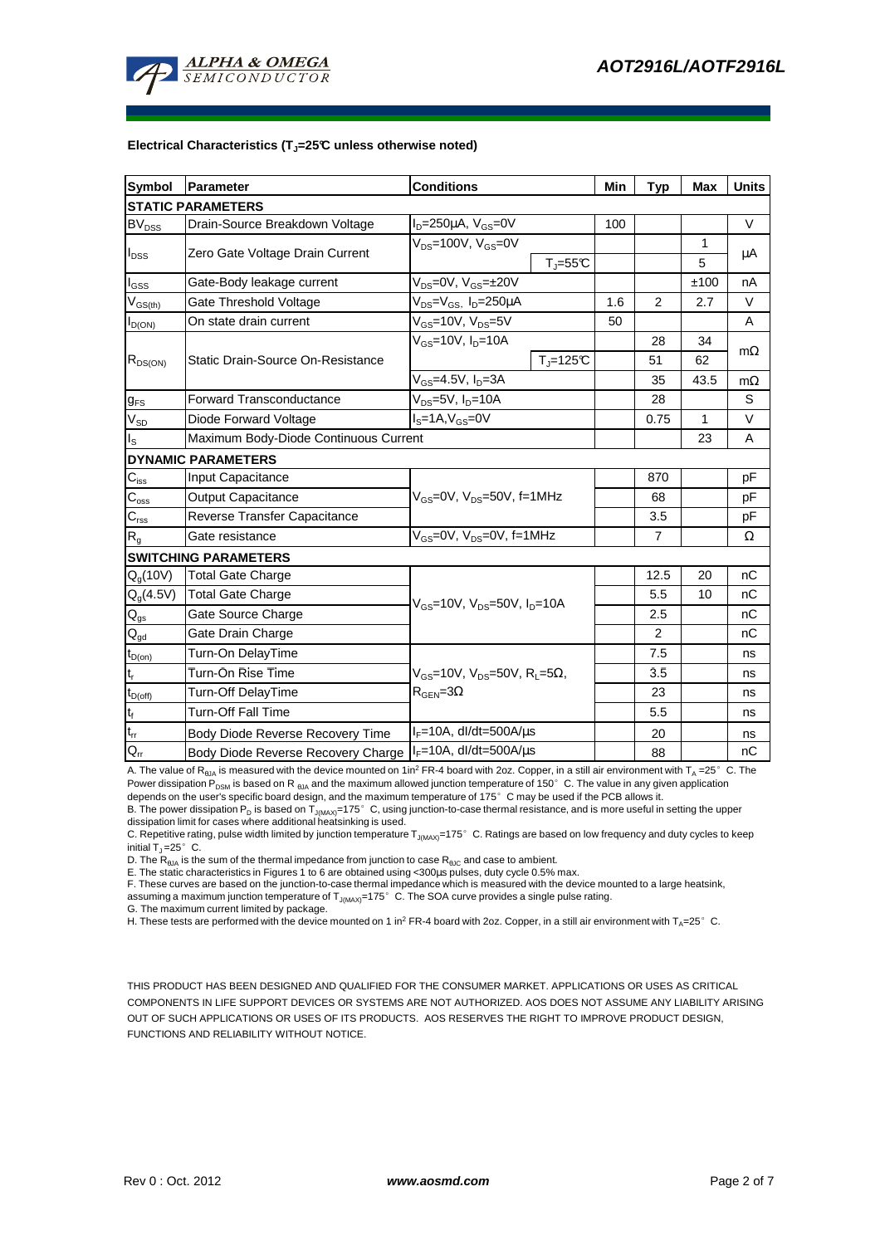

#### **Electrical Characteristics (TJ=25°C unless otherwise noted)**

| Symbol                                  | <b>Conditions</b><br>Parameter                                |                                                                              |             | Min | <b>Typ</b>     | <b>Max</b> | <b>Units</b> |  |  |  |  |
|-----------------------------------------|---------------------------------------------------------------|------------------------------------------------------------------------------|-------------|-----|----------------|------------|--------------|--|--|--|--|
| <b>STATIC PARAMETERS</b>                |                                                               |                                                                              |             |     |                |            |              |  |  |  |  |
| <b>BV<sub>DSS</sub></b>                 | Drain-Source Breakdown Voltage                                | $I_D = 250 \mu A$ , $V_{GS} = 0V$                                            |             | 100 |                |            | $\vee$       |  |  |  |  |
|                                         |                                                               | $V_{DS}$ =100V, $V_{GS}$ =0V                                                 |             |     |                | 1          |              |  |  |  |  |
| $I_{\text{DSS}}$                        | Zero Gate Voltage Drain Current                               |                                                                              | $T_J = 55C$ |     |                | 5          | μA           |  |  |  |  |
| $I_{\rm GSS}$                           | Gate-Body leakage current                                     | $V_{DS} = 0V$ , $V_{GS} = \pm 20V$                                           |             |     |                | ±100       | nA           |  |  |  |  |
| $\mathsf{V}_{\mathsf{GS}(\mathsf{th})}$ | Gate Threshold Voltage                                        | $V_{DS} = V_{GS}$ , $I_D = 250 \mu A$                                        |             |     | $\overline{2}$ | 2.7        | $\vee$       |  |  |  |  |
| $I_{D(ON)}$                             | On state drain current                                        | $V_{GS}$ =10V, $V_{DS}$ =5V                                                  |             | 50  |                |            | A            |  |  |  |  |
| $R_{DS(ON)}$                            |                                                               | $V_{GS}$ =10V, I <sub>D</sub> =10A                                           |             |     | 28             | 34         | $m\Omega$    |  |  |  |  |
|                                         | Static Drain-Source On-Resistance                             |                                                                              | $Tj=125C$   |     | 51             | 62         |              |  |  |  |  |
|                                         |                                                               | $V_{GS}$ =4.5V, $I_D$ =3A                                                    |             |     | 35             | 43.5       | $m\Omega$    |  |  |  |  |
| $g_{FS}$                                | $V_{DS}$ =5V, $I_{D}$ =10A<br><b>Forward Transconductance</b> |                                                                              |             |     | 28             |            | S            |  |  |  |  |
| $V_{SD}$                                | $IS=1A, VGS=0V$<br>Diode Forward Voltage                      |                                                                              |             |     | 0.75           | 1          | $\vee$       |  |  |  |  |
| l <sub>s</sub>                          | Maximum Body-Diode Continuous Current                         |                                                                              |             |     |                | 23         | A            |  |  |  |  |
|                                         | <b>DYNAMIC PARAMETERS</b>                                     |                                                                              |             |     |                |            |              |  |  |  |  |
| $C_{\text{iss}}$                        | Input Capacitance                                             | $V_{GS}$ =0V, $V_{DS}$ =50V, f=1MHz                                          |             |     | 870            |            | pF           |  |  |  |  |
| $C_{\rm oss}$                           | <b>Output Capacitance</b>                                     |                                                                              |             |     | 68             |            | рF           |  |  |  |  |
| $C_{\rm rss}$                           | Reverse Transfer Capacitance                                  |                                                                              |             |     | 3.5            |            | pF           |  |  |  |  |
| $R_{q}$                                 | Gate resistance                                               | $V_{GS}$ =0V, $V_{DS}$ =0V, f=1MHz                                           |             |     | $\overline{7}$ |            | Ω            |  |  |  |  |
|                                         | <b>SWITCHING PARAMETERS</b>                                   |                                                                              |             |     |                |            |              |  |  |  |  |
| $Q_q(10V)$                              | <b>Total Gate Charge</b>                                      |                                                                              |             |     | 12.5           | 20         | nC           |  |  |  |  |
| $Q_q(4.5V)$                             | <b>Total Gate Charge</b>                                      | $V_{GS}$ =10V, $V_{DS}$ =50V, $I_{D}$ =10A                                   |             |     | 5.5            | 10         | nC           |  |  |  |  |
| $\mathsf{Q}_{\text{gs}}$                | Gate Source Charge                                            |                                                                              |             |     | 2.5            |            | nC           |  |  |  |  |
| $Q_{gd}$                                | Gate Drain Charge                                             |                                                                              |             |     | 2              |            | nC           |  |  |  |  |
| $t_{D(0n)}$                             | Turn-On DelayTime                                             | $V_{GS}$ =10V, $V_{DS}$ =50V, R <sub>i</sub> =5Ω,<br>$\rm R_{GEN} = 3\Omega$ |             |     | 7.5            |            | ns           |  |  |  |  |
| $t_r$                                   | Turn-On Rise Time                                             |                                                                              |             |     | 3.5            |            | ns           |  |  |  |  |
| $t_{D(\text{off})}$                     | Turn-Off DelayTime                                            |                                                                              |             |     | 23             |            | ns           |  |  |  |  |
| $t_f$                                   | <b>Turn-Off Fall Time</b>                                     |                                                                              |             |     | 5.5            |            | ns           |  |  |  |  |
| $\mathfrak{t}_{\text{rr}}$              | Body Diode Reverse Recovery Time                              | l <sub>F</sub> =10A, dl/dt=500A/μs                                           |             |     | 20             |            | ns           |  |  |  |  |
| $Q_{rr}$                                | Body Diode Reverse Recovery Charge                            | $I_F = 10A$ , dl/dt=500A/ $\mu$ s                                            |             |     | 88             |            | nC           |  |  |  |  |

A. The value of R<sub>BJA</sub> is measured with the device mounted on 1in<sup>2</sup> FR-4 board with 2oz. Copper, in a still air environment with T<sub>A</sub> =25°C. The Power dissipation  $P_{DSM}$  is based on R  $_{\theta_0A}$  and the maximum allowed junction temperature of 150° C. The value in any given application depends on the user's specific board design, and the maximum temperature of 175°C may be used if the PCB allows it.

B. The power dissipation P<sub>D</sub> is based on T<sub>J(MAX)</sub>=175°C, using junction-to-case thermal resistance, and is more useful in setting the upper<br>dissipation limit for cases where additional heatsinking is used.

C. Repetitive rating, pulse width limited by junction temperature T<sub>J(MAX)</sub>=175°C. Ratings are based on low frequency and duty cycles to keep initial  $T_1 = 25^\circ$  C.

D. The  $R_{AIA}$  is the sum of the thermal impedance from junction to case  $R_{AIC}$  and case to ambient.

E. The static characteristics in Figures 1 to 6 are obtained using <300µs pulses, duty cycle 0.5% max.

F. These curves are based on the junction-to-case thermal impedance which is measured with the device mounted to a large heatsink, assuming a maximum junction temperature of  $T_{J(MAX)}=175^{\circ}$  C. The SOA curve provides a single pulse rating.

G. The maximum current limited by package.

H. These tests are performed with the device mounted on 1 in<sup>2</sup> FR-4 board with 2oz. Copper, in a still air environment with T<sub>A</sub>=25°C.

THIS PRODUCT HAS BEEN DESIGNED AND QUALIFIED FOR THE CONSUMER MARKET. APPLICATIONS OR USES AS CRITICAL COMPONENTS IN LIFE SUPPORT DEVICES OR SYSTEMS ARE NOT AUTHORIZED. AOS DOES NOT ASSUME ANY LIABILITY ARISING OUT OF SUCH APPLICATIONS OR USES OF ITS PRODUCTS. AOS RESERVES THE RIGHT TO IMPROVE PRODUCT DESIGN, FUNCTIONS AND RELIABILITY WITHOUT NOTICE.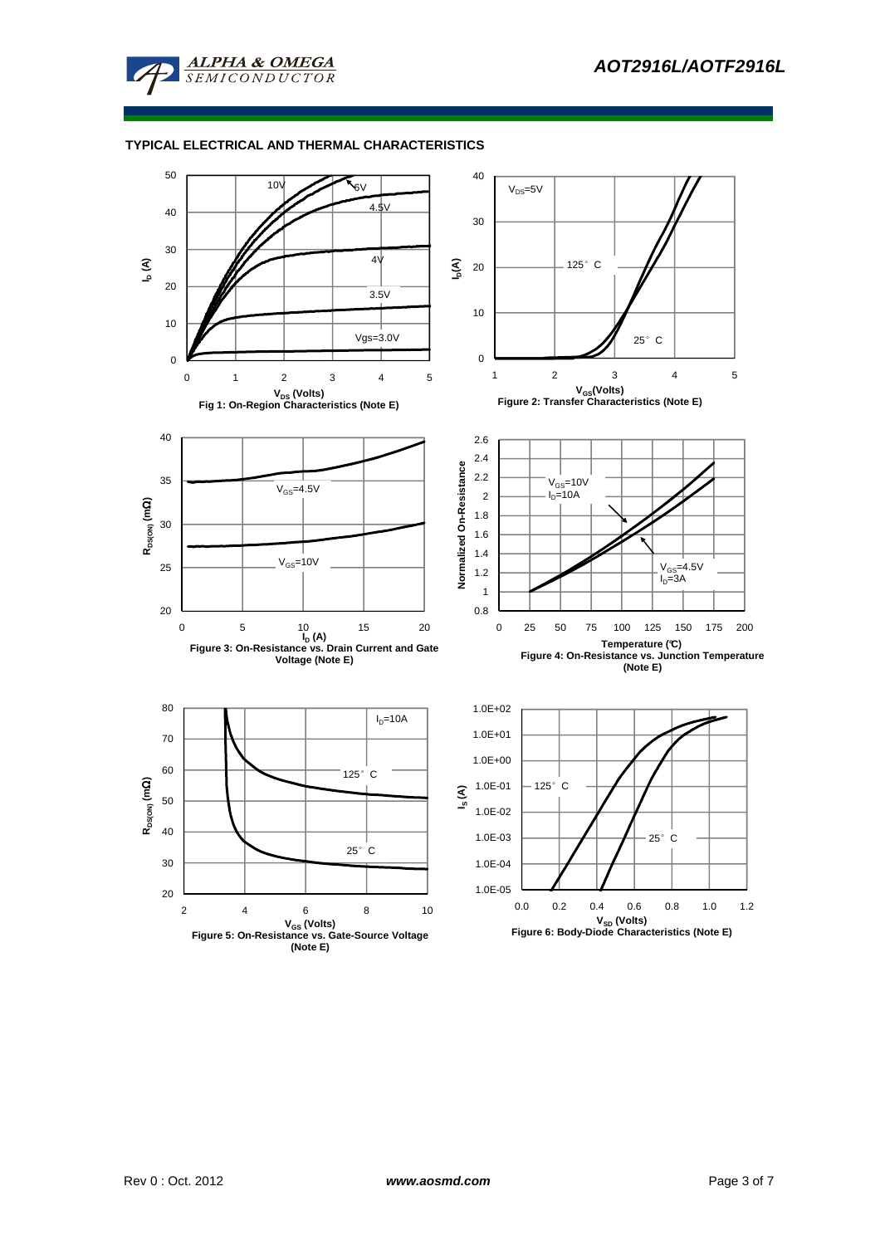

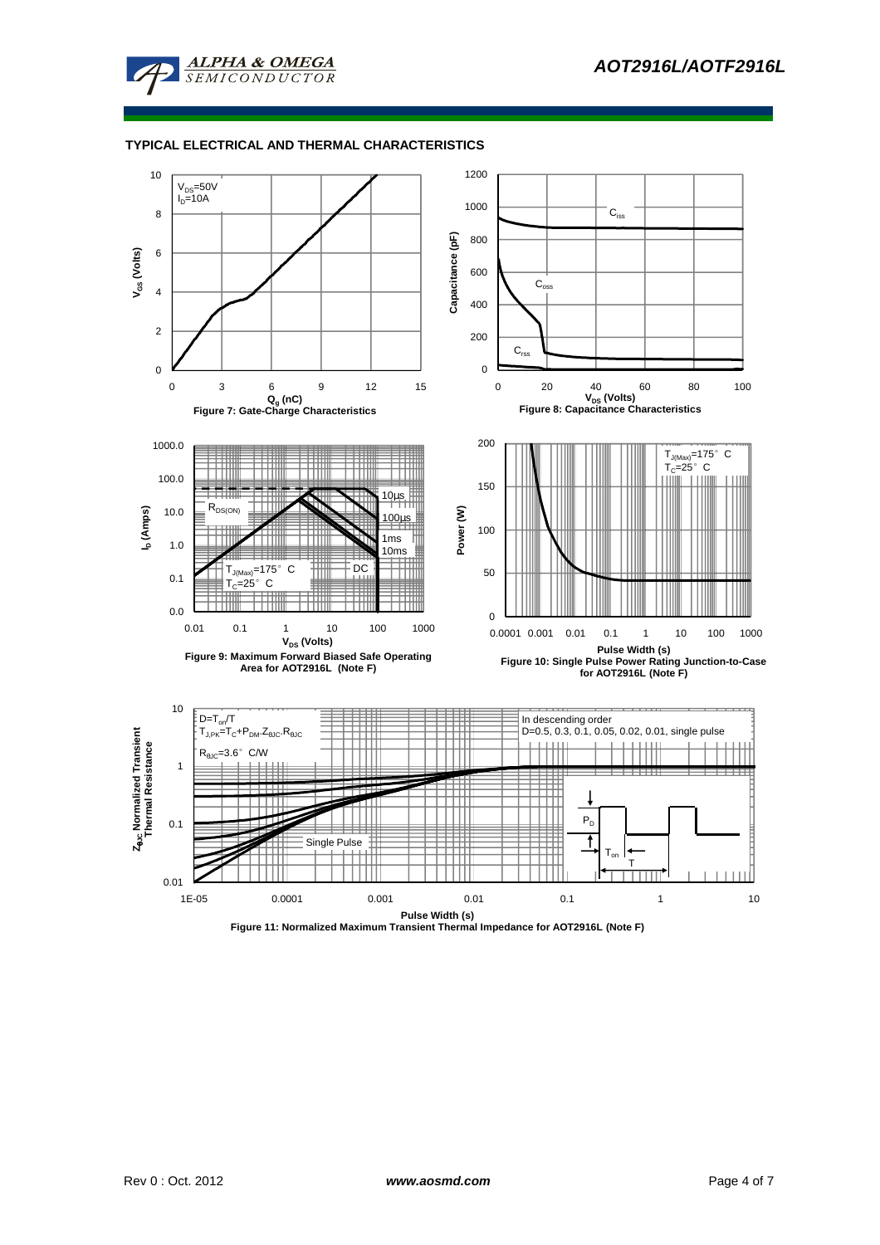



**Figure 11: Normalized Maximum Transient Thermal Impedance for AOT2916L (Note F)**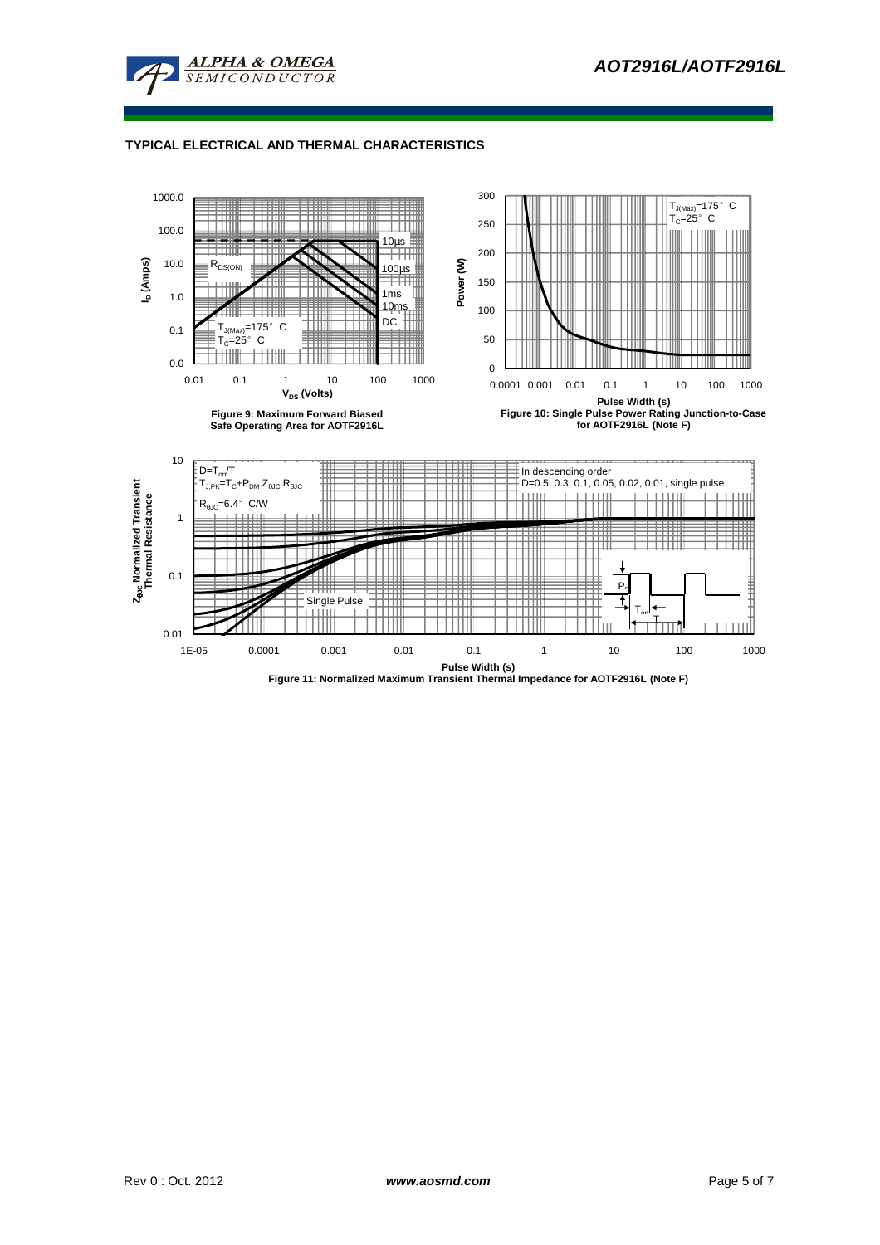

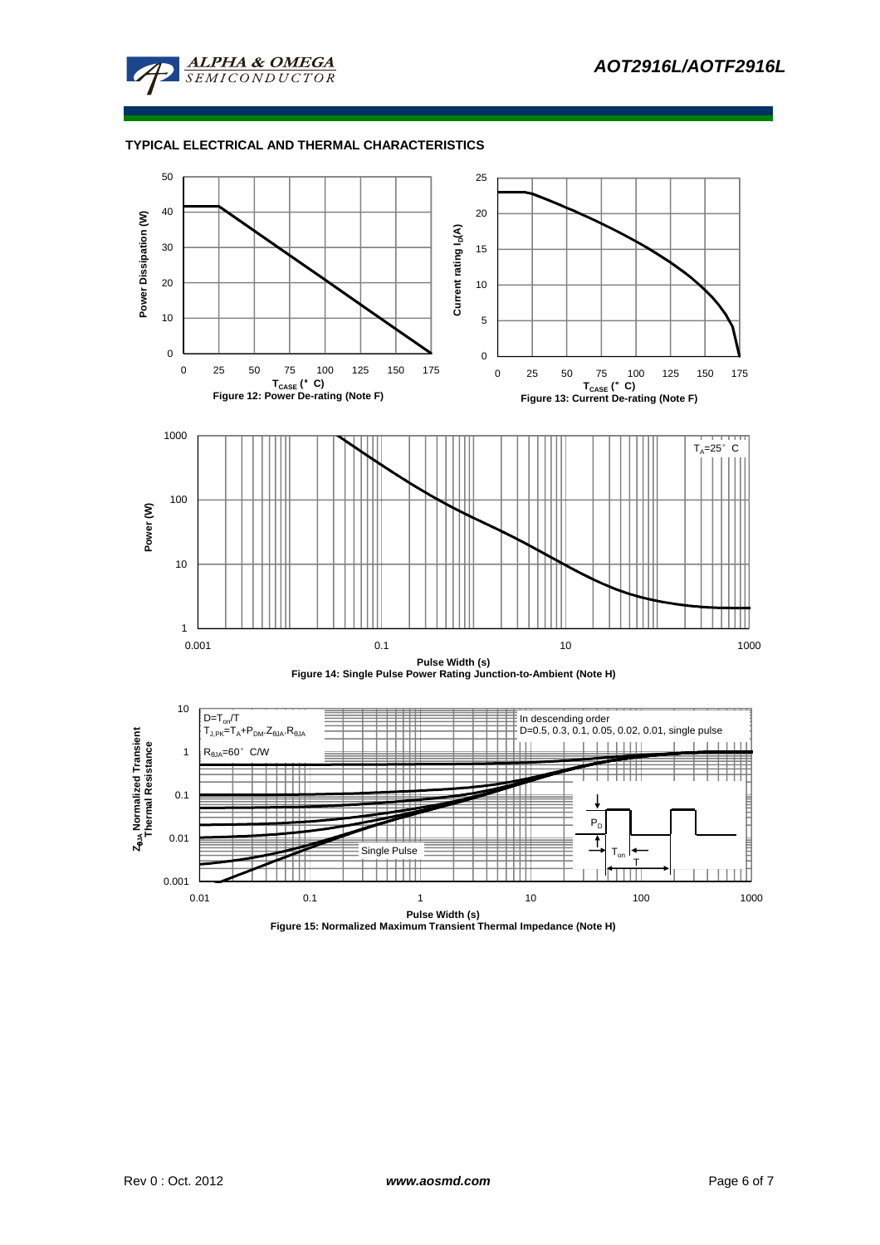